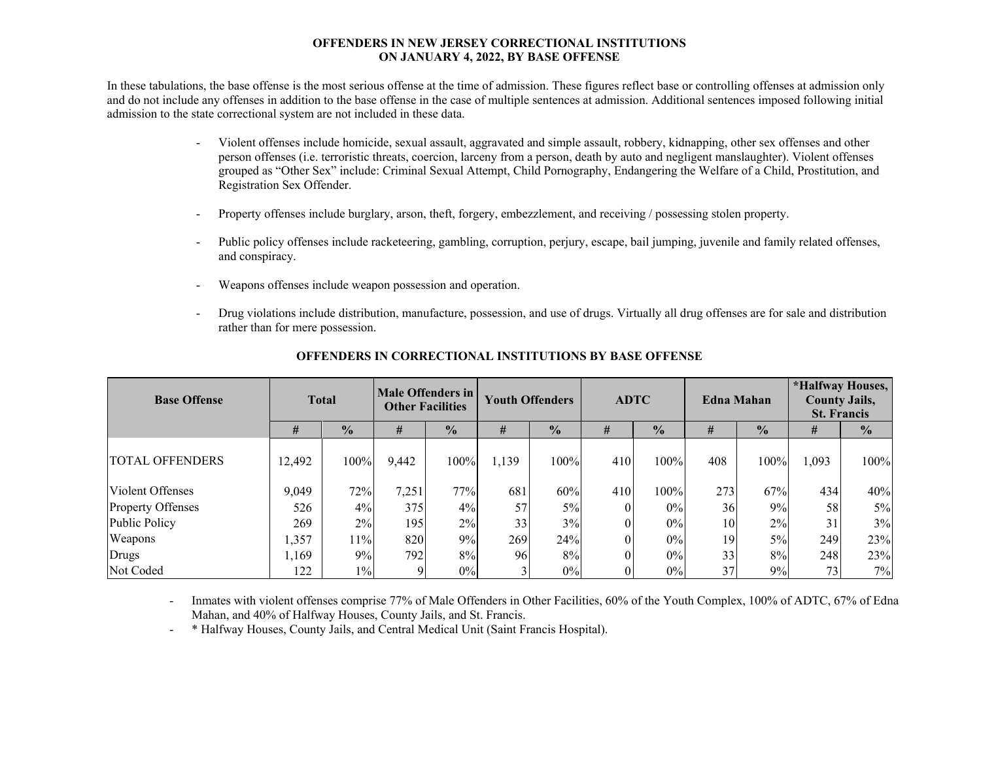### **OFFENDERS IN NEW JERSEY CORRECTIONAL INSTITUTIONS ON JANUARY 4, 2022, BY BASE OFFENSE**

In these tabulations, the base offense is the most serious offense at the time of admission. These figures reflect base or controlling offenses at admission only and do not include any offenses in addition to the base offense in the case of multiple sentences at admission. Additional sentences imposed following initial admission to the state correctional system are not included in these data.

- - Violent offenses include homicide, sexual assault, aggravated and simple assault, robbery, kidnapping, other sex offenses and other person offenses (i.e. terroristic threats, coercion, larceny from a person, death by auto and negligent manslaughter). Violent offenses grouped as "Other Sex" include: Criminal Sexual Attempt, Child Pornography, Endangering the Welfare of a Child, Prostitution, and Registration Sex Offender.
- Property offenses include burglary, arson, theft, forgery, embezzlement, and receiving / possessing stolen property.
- Public policy offenses include racketeering, gambling, corruption, perjury, escape, bail jumping, juvenile and family related offenses, and conspiracy.
- Weapons offenses include weapon possession and operation.
- Drug violations include distribution, manufacture, possession, and use of drugs. Virtually all drug offenses are for sale and distribution rather than for mere possession.

| <b>Base Offense</b>      | <b>Total</b> |               | Male Offenders in<br><b>Other Facilities</b> |               | <b>Youth Offenders</b> |               | <b>ADTC</b> |               |     | <b>Edna Mahan</b> | *Halfway Houses,<br><b>County Jails,</b><br><b>St. Francis</b> |               |  |
|--------------------------|--------------|---------------|----------------------------------------------|---------------|------------------------|---------------|-------------|---------------|-----|-------------------|----------------------------------------------------------------|---------------|--|
|                          | #            | $\frac{1}{2}$ | #                                            | $\frac{0}{0}$ | #                      | $\frac{0}{0}$ | #           | $\frac{1}{2}$ | #   | $\frac{0}{0}$     | #                                                              | $\frac{0}{0}$ |  |
| TOTAL OFFENDERS          | 12,492       | 100%          | 9,442                                        | $100\%$       | 1,139                  | 100%          | 410         | 100%          | 408 | 100%              | 1,093                                                          | 100%          |  |
| Violent Offenses         | 9,049        | 72%           | 7,251                                        | 77%           | 681                    | 60%           | 410         | 100%          | 273 | 67%               | 434                                                            | 40%           |  |
| <b>Property Offenses</b> | 526          | 4%            | 375                                          | 4%            | 57                     | 5%            |             | $0\%$         | 36  | 9%                | 58                                                             | 5%            |  |
| Public Policy            | 269          | 2%            | 195                                          | 2%            | 33                     | 3%            |             | $0\%$         | 10  | 2%                | 31                                                             | 3%            |  |
| Weapons                  | 1,357        | 11%           | 820                                          | 9%            | 269                    | 24%           |             | $0\%$         | 19  | 5%                | 249                                                            | 23%           |  |
| Drugs                    | 1,169        | 9%            | 792                                          | 8%            | 96                     | 8%            |             | $0\%$         | 33  | 8%                | 248                                                            | 23%           |  |
| Not Coded                | 122          | $1\%$         |                                              | 0%            |                        | $0\%$         |             | $0\%$         | 37  | 9%                | 73                                                             | 7%            |  |

## **OFFENDERS IN CORRECTIONAL INSTITUTIONS BY BASE OFFENSE**

- Inmates with violent offenses comprise 77% of Male Offenders in Other Facilities, 60% of the Youth Complex, 100% of ADTC, 67% of Edna Mahan, and 40% of Halfway Houses, County Jails, and St. Francis.

\* Halfway Houses, County Jails, and Central Medical Unit (Saint Francis Hospital).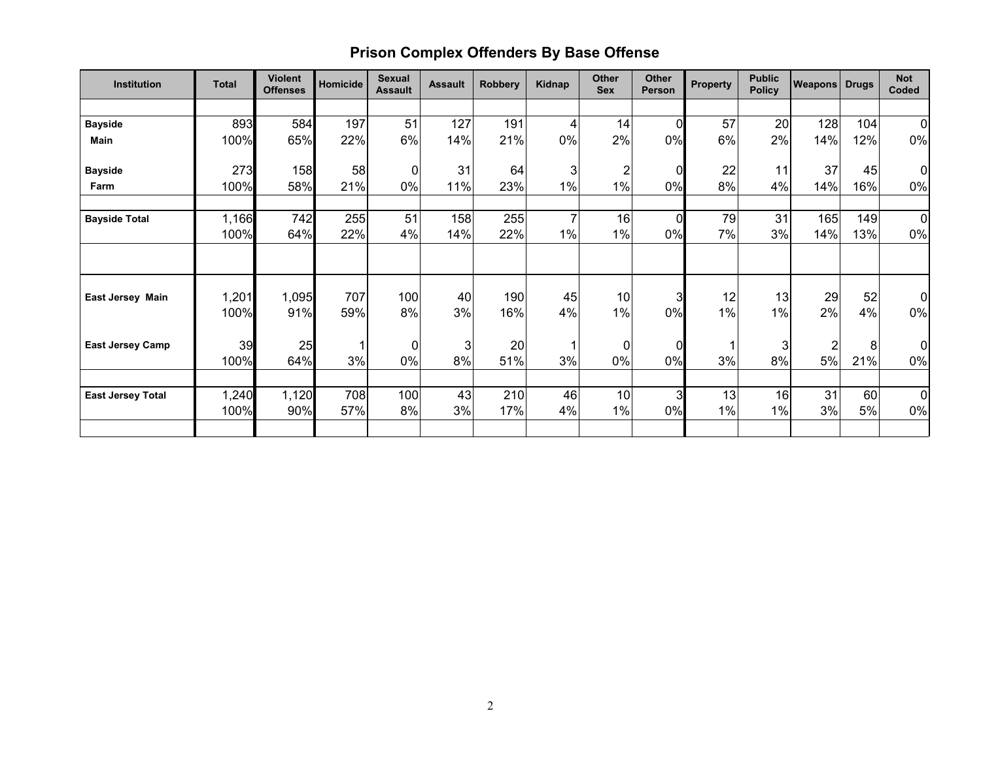# **Prison Complex Offenders By Base Offense**

| <b>Institution</b>       | <b>Total</b>  | <b>Violent</b><br><b>Offenses</b> | Homicide   | <b>Sexual</b><br><b>Assault</b> | <b>Assault</b> | <b>Robbery</b> | Kidnap               | Other<br><b>Sex</b> | Other<br><b>Person</b> | <b>Property</b> | <b>Public</b><br><b>Policy</b> | <b>Weapons Drugs</b> |            | <b>Not</b><br>Coded  |
|--------------------------|---------------|-----------------------------------|------------|---------------------------------|----------------|----------------|----------------------|---------------------|------------------------|-----------------|--------------------------------|----------------------|------------|----------------------|
|                          |               |                                   |            |                                 |                |                |                      |                     |                        |                 |                                |                      |            |                      |
| <b>Bayside</b>           | 893           | 584                               | 197        | 51                              | 127            | 191            | 4                    | 14                  | $\Omega$               | 57              | 20                             | 128                  | 104        | $\overline{0}$       |
| <b>Main</b>              | 100%          | 65%                               | 22%        | 6%                              | 14%            | 21%            | $0\%$                | 2%                  | 0%                     | 6%              | 2%                             | 14%                  | 12%        | 0%                   |
| <b>Bayside</b>           | 273           | 158                               | 58         | 0                               | 31             | 64             | 3                    | 2                   |                        | 22              | 11                             | 37                   | 45         | $\overline{0}$       |
| Farm                     | 100%          | 58%                               | 21%        | 0%                              | 11%            | 23%            | 1%                   | $1\%$               | 0%                     | 8%              | 4%                             | 14%                  | 16%        | 0%                   |
|                          |               |                                   |            |                                 |                |                |                      |                     |                        |                 |                                |                      |            |                      |
| <b>Bayside Total</b>     | 1,166<br>100% | 742<br>64%                        | 255<br>22% | 51<br>4%                        | 158<br>14%     | 255<br>22%     | $\overline{7}$<br>1% | 16<br>1%            | $\mathbf 0$<br>0%      | 79<br>7%        | 31<br>3%                       | 165<br>14%           | 149<br>13% | $\overline{0}$<br>0% |
|                          |               |                                   |            |                                 |                |                |                      |                     |                        |                 |                                |                      |            |                      |
| East Jersey Main         | 1,201<br>100% | 1,095<br>91%                      | 707<br>59% | 100<br>8%                       | 40<br>3%       | 190<br>16%     | 45<br>4%             | 10<br>$1\%$         | 3<br>0%                | 12<br>1%        | 13<br>1%                       | 29<br>2%             | 52<br>4%   | $\overline{0}$<br>0% |
| <b>East Jersey Camp</b>  | 39            | 25                                | 1          | $\mathbf 0$                     | 3              | 20             | 1                    | $\pmb{0}$           | $\Omega$               |                 | 3                              | $\overline{2}$       | 8          | $\overline{0}$       |
|                          | 100%          | 64%                               | 3%         | 0%                              | 8%             | 51%            | 3%                   | 0%                  | 0%                     | 3%              | 8%                             | 5%                   | 21%        | 0%                   |
| <b>East Jersey Total</b> | 1,240<br>100% | 1,120<br>90%                      | 708<br>57% | 100<br>8%                       | 43<br>3%       | 210<br>17%     | 46<br>4%             | 10<br>1%            | $\mathbf{3}$<br>0%     | 13<br>1%        | 16<br>1%                       | 31<br>3%             | 60<br>5%   | $\overline{0}$<br>0% |
|                          |               |                                   |            |                                 |                |                |                      |                     |                        |                 |                                |                      |            |                      |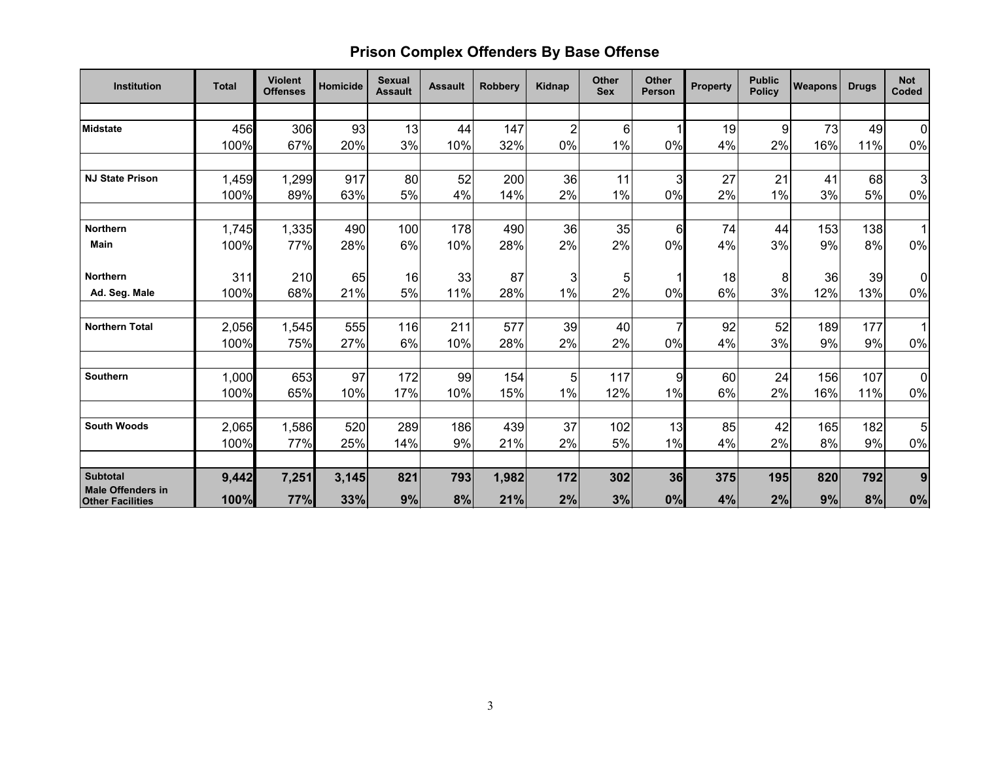# **Prison Complex Offenders By Base Offense**

| <b>Institution</b>                                  | <b>Total</b>  | <b>Violent</b><br><b>Offenses</b> | Homicide  | <b>Sexual</b><br><b>Assault</b> | <b>Assault</b> | <b>Robbery</b> | Kidnap         | <b>Other</b><br><b>Sex</b> | <b>Other</b><br>Person | <b>Property</b> | <b>Public</b><br><b>Policy</b> | <b>Weapons</b> | <b>Drugs</b> | <b>Not</b><br>Coded  |
|-----------------------------------------------------|---------------|-----------------------------------|-----------|---------------------------------|----------------|----------------|----------------|----------------------------|------------------------|-----------------|--------------------------------|----------------|--------------|----------------------|
|                                                     |               |                                   |           |                                 |                |                |                |                            |                        |                 |                                |                |              |                      |
| <b>Midstate</b>                                     | 456           | 306                               | 93        | 13                              | 44             | 147            | $\overline{c}$ | $6\phantom{a}$             |                        | 19              | 9                              | 73             | 49           | $\overline{0}$       |
|                                                     | 100%          | 67%                               | 20%       | 3%                              | 10%            | 32%            | 0%             | $1\%$                      | 0%                     | 4%              | 2%                             | 16%            | 11%          | $0\%$                |
|                                                     |               |                                   |           |                                 |                |                |                |                            |                        |                 |                                |                |              |                      |
| <b>NJ State Prison</b>                              | 1,459         | 1,299                             | 917       | 80                              | 52             | 200            | 36             | 11                         | 3                      | 27              | 21                             | 41             | 68           | 3 <sub>l</sub>       |
|                                                     | 100%          | 89%                               | 63%       | 5%                              | 4%             | 14%            | 2%             | $1\%$                      | 0%                     | 2%              | 1%                             | 3%             | 5%           | 0%                   |
| <b>Northern</b>                                     | 1,745         | 1,335                             | 490       | 100                             | 178            | 490            | 36             | 35                         | 6                      | 74              | 44                             | 153            | 138          | 1 <sup>1</sup>       |
| <b>Main</b>                                         | 100%          | 77%                               | 28%       | 6%                              | 10%            | 28%            | 2%             | 2%                         | 0%                     | 4%              | 3%                             | 9%             | 8%           | $0\%$                |
| <b>Northern</b>                                     | 311           | 210                               | 65        | 16                              | 33             | 87             | 3              | 5                          |                        | 18              | 8                              | 36             | 39           | $\overline{0}$       |
| Ad. Seg. Male                                       | 100%          | 68%                               | 21%       | 5%                              | 11%            | 28%            | 1%             | 2%                         | 0%                     | 6%              | 3%                             | 12%            | 13%          | 0%                   |
| <b>Northern Total</b>                               | 2,056         | 1,545                             | 555       | 116                             | 211            | 577            | 39             | 40                         |                        | 92              | 52                             | 189            | 177          | $\overline{1}$       |
|                                                     | 100%          | 75%                               | 27%       | 6%                              | 10%            | 28%            | 2%             | 2%                         | 0%                     | 4%              | 3%                             | 9%             | 9%           | $0\%$                |
| <b>Southern</b>                                     |               |                                   |           |                                 |                |                |                |                            |                        |                 |                                |                |              |                      |
|                                                     | 1,000<br>100% | 653<br>65%                        | 97<br>10% | 172<br>17%                      | 99<br>10%      | 154<br>15%     | 5<br>1%        | 117<br>12%                 | 9<br>1%                | 60<br>6%        | 24<br>2%                       | 156<br>16%     | 107<br>11%   | $\overline{0}$<br>0% |
|                                                     |               |                                   |           |                                 |                |                |                |                            |                        |                 |                                |                |              |                      |
| <b>South Woods</b>                                  | 2,065         | 1,586                             | 520       | 289                             | 186            | 439            | 37             | 102                        | 13                     | 85              | 42                             | 165            | 182          | 5 <sup>1</sup>       |
|                                                     | 100%          | 77%                               | 25%       | 14%                             | 9%             | 21%            | 2%             | 5%                         | 1%                     | 4%              | 2%                             | 8%             | 9%           | $0\%$                |
| <b>Subtotal</b>                                     | 9,442         | 7,251                             | 3,145     | 821                             | 793            | 1,982          | 172            | 302                        | 36                     | 375             | 195                            | 820            | 792          | 9                    |
| <b>Male Offenders in</b><br><b>Other Facilities</b> | 100%          | 77%                               | 33%       | 9%                              | 8%             | 21%            | 2%             | 3%                         | 0%                     | 4%              | 2%                             | 9%             | 8%           | $0\%$                |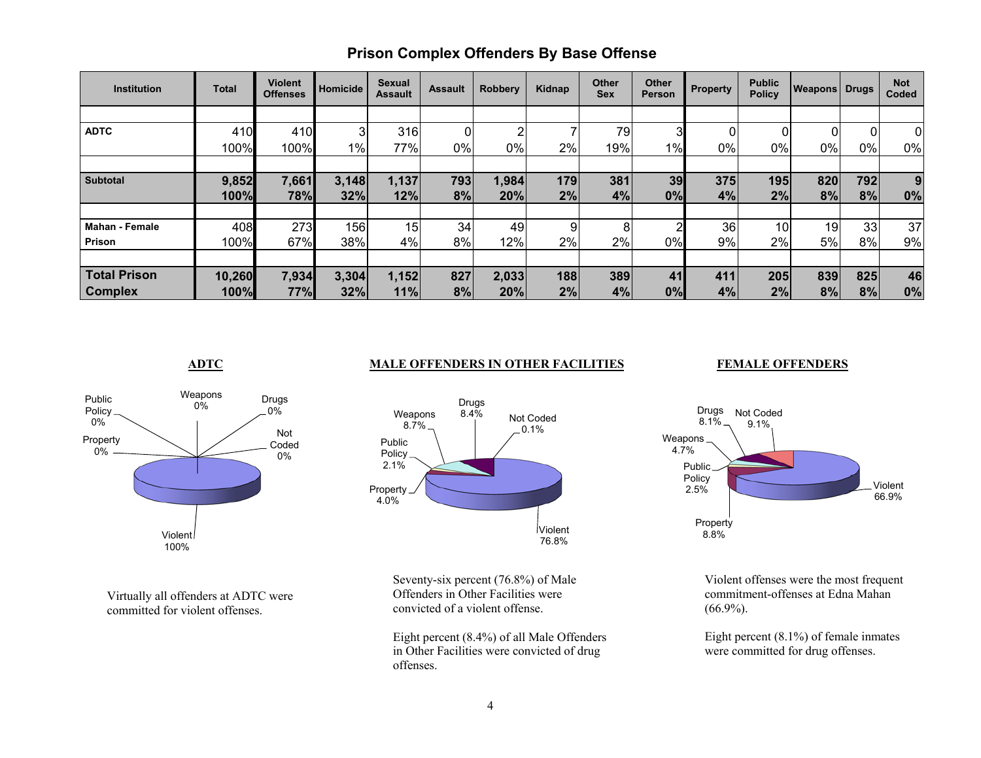| <b>Institution</b>    | <b>Total</b> | <b>Violent</b><br><b>Offenses</b> | Homicide | <b>Sexual</b><br><b>Assault</b> | <b>Assault</b> | <b>Robbery</b> | Kidnap | <b>Other</b><br><b>Sex</b> | <b>Other</b><br>Person | <b>Property</b> | <b>Public</b><br><b>Policy</b> | <b>Weapons Drugs</b> |     | <b>Not</b><br>Coded |
|-----------------------|--------------|-----------------------------------|----------|---------------------------------|----------------|----------------|--------|----------------------------|------------------------|-----------------|--------------------------------|----------------------|-----|---------------------|
|                       |              |                                   |          |                                 |                |                |        |                            |                        |                 |                                |                      |     |                     |
| <b>ADTC</b>           | 410          | 410                               | 3        | 316                             | 0              | ົ              |        | 79                         | 3                      |                 | 01                             |                      | 0   | $\overline{0}$      |
|                       | 100%         | 100%                              | $1\%$    | 77%                             | $0\%$          | 0%             | 2%     | 19%                        | 1%                     | 0%              | $0\%$                          | 0%                   | 0%  | 0%                  |
|                       |              |                                   |          |                                 |                |                |        |                            |                        |                 |                                |                      |     |                     |
| <b>Subtotal</b>       | 9,852        | 7,661                             | 3,148    | 1,137                           | 793            | 1,984          | 179    | 381                        | 39                     | 375             | 195                            | 820                  | 792 | 9                   |
|                       | 100%         | 78%                               | 32%      | 12%                             | 8%             | 20%            | 2%     | 4%                         | 0%                     | 4%              | 2%                             | 8%                   | 8%  | 0%                  |
|                       |              |                                   |          |                                 |                |                |        |                            |                        |                 |                                |                      |     |                     |
| <b>Mahan - Female</b> | 408          | 273                               | 156      | 15                              | 34             | 49             | 9      | 8                          |                        | 36              | 10                             | 19                   | 33  | 37                  |
| Prison                | 100%         | 67%                               | 38%      | 4%                              | 8%             | 12%            | 2%     | 2%                         | 0%                     | 9%              | 2%                             | 5%                   | 8%  | 9%                  |
|                       |              |                                   |          |                                 |                |                |        |                            |                        |                 |                                |                      |     |                     |
| <b>Total Prison</b>   | 10,260       | 7,934                             | 3,304    | 1,152                           | 827            | 2,033          | 188    | 389                        | 41                     | 411             | 205                            | 839                  | 825 | 46                  |
| <b>Complex</b>        | 100%         | 77%                               | 32%      | 11%                             | 8%             | 20%            | 2%     | 4%                         | 0%                     | 4%              | 2%                             | 8%                   | 8%  | 0%                  |

## **Prison Complex Offenders By Base Offense**

#### **ADTC** MALE OFFENDERS IN OTHER FACILITIES

### **FEMALE OFFENDERS**



Violent 76.8%Property 4.0% Public Policy 2.1%Weapons  $8.7\%$ Drugs 8.4% Not Coded $.0.1%$ 

Virtually all offenders at ADTC were committed for violent offenses.

Seventy-six percent (76.8%) of Male Offenders in Other Facilities were convicted of a violent offense.

Eight percent (8.4%) of all Male Offenders in Other Facilities were convicted of drug offenses.



Violent offenses were the most frequent commitment-offenses at Edna Mahan (66.9%).

Eight percent (8.1%) of female inmates were committed for drug offenses.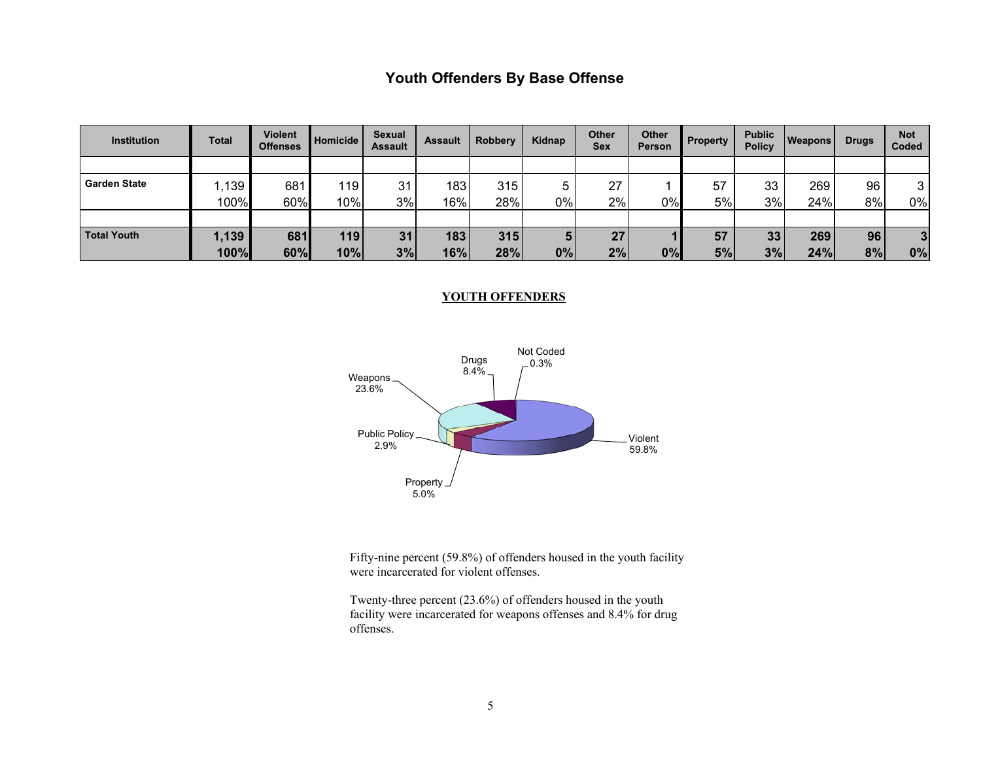# **Youth Offenders By Base Offense**

| <b>Institution</b>  | Total  | Violent<br><b>Offenses</b> | Homicide | Sexual<br><b>Assault</b> | <b>Assault</b> | <b>Robbery</b> | Kidnap | <b>Other</b><br>Sex | <b>Other</b><br><b>Person</b> | <b>Property</b> | <b>Public</b><br><b>Policy</b> | <b>Weapons</b> | <b>Drugs</b> | <b>Not</b><br>Coded |
|---------------------|--------|----------------------------|----------|--------------------------|----------------|----------------|--------|---------------------|-------------------------------|-----------------|--------------------------------|----------------|--------------|---------------------|
|                     |        |                            |          |                          |                |                |        |                     |                               |                 |                                |                |              |                     |
| <b>Garden State</b> | ا 139, | 681                        | 119      | 31                       | 183            | 315            | π      | 27                  |                               | 57              | 33                             | 269            | 96           | 3                   |
|                     | 100%   | 60%                        | 10%      | 3%                       | 16%            | 28%            | $0\%$  | 2%                  | $0\%$                         | 5%              | 3%                             | 24%            | 8%           | 0%                  |
|                     |        |                            |          |                          |                |                |        |                     |                               |                 |                                |                |              |                     |
| <b>Total Youth</b>  | 1,139  | 681                        | 119      | 31                       | 183            | 315            | 5      | 27                  |                               | 57              | 33                             | 269            | 96           | 3                   |
|                     | 100%   | 60%                        | 10%      | 3%                       | 16%            | 28%            | 0%     | 2%                  | 0%                            | 5%              | 3%                             | 24%            | 8%           | 0%                  |

#### **YOUTH OFFENDERS**



Fifty-nine percent (59.8%) of offenders housed in the youth facility were incarcerated for violent offenses.

Twenty-three percent (23.6%) of offenders housed in the youth facility were incarcerated for weapons offenses and 8.4% for drug offenses.